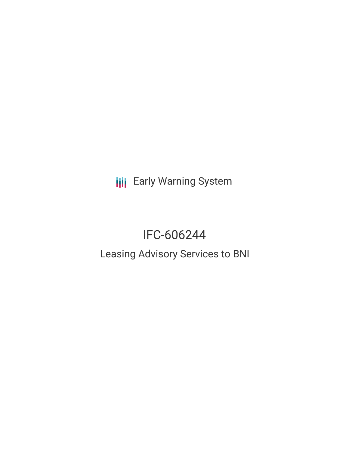**III** Early Warning System

# IFC-606244

## Leasing Advisory Services to BNI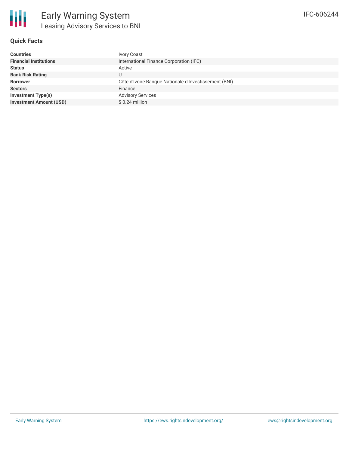#### **Quick Facts**

| <b>Countries</b>               | <b>Ivory Coast</b>                                    |
|--------------------------------|-------------------------------------------------------|
| <b>Financial Institutions</b>  | International Finance Corporation (IFC)               |
| <b>Status</b>                  | Active                                                |
| <b>Bank Risk Rating</b>        |                                                       |
| <b>Borrower</b>                | Côte d'Ivoire Banque Nationale d'Investissement (BNI) |
| <b>Sectors</b>                 | Finance                                               |
| <b>Investment Type(s)</b>      | <b>Advisory Services</b>                              |
| <b>Investment Amount (USD)</b> | $$0.24$ million                                       |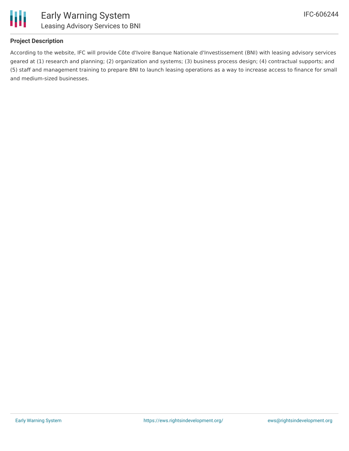

#### **Project Description**

According to the website, IFC will provide Côte d'Ivoire Banque Nationale d'Investissement (BNI) with leasing advisory services geared at (1) research and planning; (2) organization and systems; (3) business process design; (4) contractual supports; and (5) staff and management training to prepare BNI to launch leasing operations as a way to increase access to finance for small and medium-sized businesses.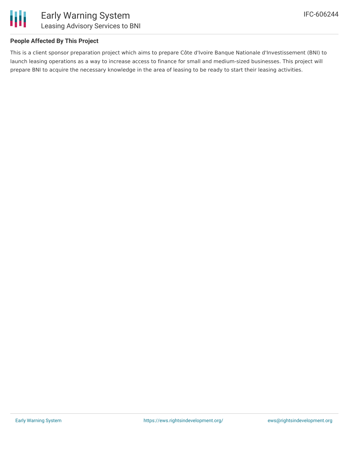

#### **People Affected By This Project**

This is a client sponsor preparation project which aims to prepare Côte d'Ivoire Banque Nationale d'Investissement (BNI) to launch leasing operations as a way to increase access to finance for small and medium-sized businesses. This project will prepare BNI to acquire the necessary knowledge in the area of leasing to be ready to start their leasing activities.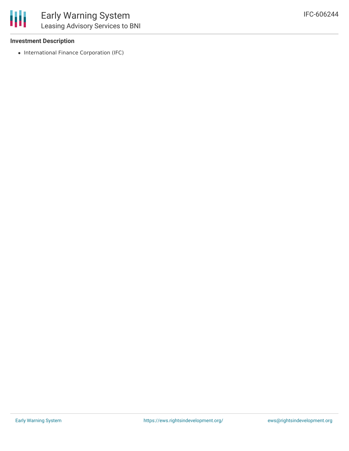

#### **Investment Description**

• International Finance Corporation (IFC)